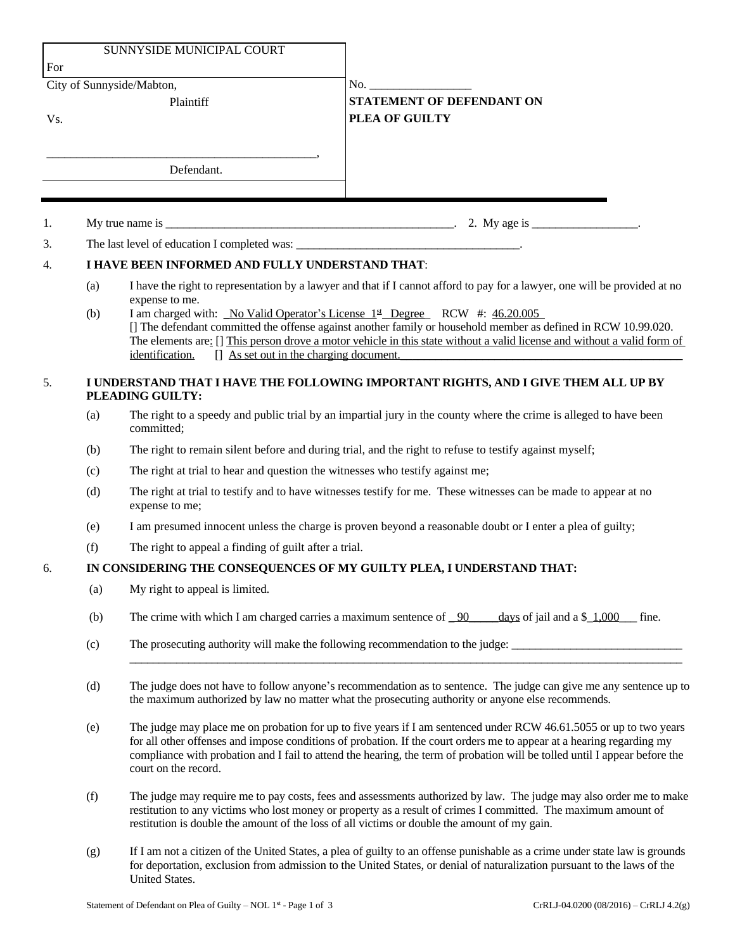| SUNNYSIDE MUNICIPAL COURT<br>For |                                                                                                        |                                                                                                                                                                                                                                                                                                                                                                                                   |                                                                                                                            |  |
|----------------------------------|--------------------------------------------------------------------------------------------------------|---------------------------------------------------------------------------------------------------------------------------------------------------------------------------------------------------------------------------------------------------------------------------------------------------------------------------------------------------------------------------------------------------|----------------------------------------------------------------------------------------------------------------------------|--|
| City of Sunnyside/Mabton,        |                                                                                                        |                                                                                                                                                                                                                                                                                                                                                                                                   | No.                                                                                                                        |  |
| Vs.                              | Plaintiff                                                                                              |                                                                                                                                                                                                                                                                                                                                                                                                   | <b>STATEMENT OF DEFENDANT ON</b><br>PLEA OF GUILTY                                                                         |  |
|                                  |                                                                                                        | Defendant.                                                                                                                                                                                                                                                                                                                                                                                        |                                                                                                                            |  |
|                                  |                                                                                                        |                                                                                                                                                                                                                                                                                                                                                                                                   |                                                                                                                            |  |
| 1.                               |                                                                                                        |                                                                                                                                                                                                                                                                                                                                                                                                   |                                                                                                                            |  |
| 3.                               |                                                                                                        |                                                                                                                                                                                                                                                                                                                                                                                                   |                                                                                                                            |  |
| $\overline{4}$ .                 | I HAVE BEEN INFORMED AND FULLY UNDERSTAND THAT:                                                        |                                                                                                                                                                                                                                                                                                                                                                                                   |                                                                                                                            |  |
|                                  | (a)                                                                                                    | expense to me.                                                                                                                                                                                                                                                                                                                                                                                    | I have the right to representation by a lawyer and that if I cannot afford to pay for a lawyer, one will be provided at no |  |
|                                  | (b)                                                                                                    | I am charged with: No Valid Operator's License 1st Degree RCW #: 46.20.005<br>[] The defendant committed the offense against another family or household member as defined in RCW 10.99.020.<br>The elements are: [] This person drove a motor vehicle in this state without a valid license and without a valid form of<br>identification.<br>[] As set out in the charging document.            |                                                                                                                            |  |
| 5.                               | I UNDERSTAND THAT I HAVE THE FOLLOWING IMPORTANT RIGHTS, AND I GIVE THEM ALL UP BY<br>PLEADING GUILTY: |                                                                                                                                                                                                                                                                                                                                                                                                   |                                                                                                                            |  |
|                                  | (a)                                                                                                    | The right to a speedy and public trial by an impartial jury in the county where the crime is alleged to have been<br>committed;                                                                                                                                                                                                                                                                   |                                                                                                                            |  |
|                                  | (b)                                                                                                    | The right to remain silent before and during trial, and the right to refuse to testify against myself;                                                                                                                                                                                                                                                                                            |                                                                                                                            |  |
|                                  | (c)                                                                                                    | The right at trial to hear and question the witnesses who testify against me;                                                                                                                                                                                                                                                                                                                     |                                                                                                                            |  |
|                                  | (d)                                                                                                    | The right at trial to testify and to have witnesses testify for me. These witnesses can be made to appear at no<br>expense to me;                                                                                                                                                                                                                                                                 |                                                                                                                            |  |
|                                  | (e)                                                                                                    | I am presumed innocent unless the charge is proven beyond a reasonable doubt or I enter a plea of guilty;                                                                                                                                                                                                                                                                                         |                                                                                                                            |  |
|                                  | (f)                                                                                                    | The right to appeal a finding of guilt after a trial.                                                                                                                                                                                                                                                                                                                                             |                                                                                                                            |  |
| 6.                               | IN CONSIDERING THE CONSEQUENCES OF MY GUILTY PLEA, I UNDERSTAND THAT:                                  |                                                                                                                                                                                                                                                                                                                                                                                                   |                                                                                                                            |  |
|                                  | (a)                                                                                                    | My right to appeal is limited.                                                                                                                                                                                                                                                                                                                                                                    |                                                                                                                            |  |
|                                  | (b)                                                                                                    | The crime with which I am charged carries a maximum sentence of $\frac{90}{2}$<br>days of jail and a $\frac{1,000}{\cdot}$ fine.                                                                                                                                                                                                                                                                  |                                                                                                                            |  |
|                                  | (c)                                                                                                    | The prosecuting authority will make the following recommendation to the judge:                                                                                                                                                                                                                                                                                                                    |                                                                                                                            |  |
|                                  | (d)                                                                                                    | The judge does not have to follow anyone's recommendation as to sentence. The judge can give me any sentence up to<br>the maximum authorized by law no matter what the prosecuting authority or anyone else recommends.                                                                                                                                                                           |                                                                                                                            |  |
|                                  | (e)                                                                                                    | The judge may place me on probation for up to five years if I am sentenced under RCW 46.61.5055 or up to two years<br>for all other offenses and impose conditions of probation. If the court orders me to appear at a hearing regarding my<br>compliance with probation and I fail to attend the hearing, the term of probation will be tolled until I appear before the<br>court on the record. |                                                                                                                            |  |
|                                  | (f)                                                                                                    | The judge may require me to pay costs, fees and assessments authorized by law. The judge may also order me to make<br>restitution to any victims who lost money or property as a result of crimes I committed. The maximum amount of<br>restitution is double the amount of the loss of all victims or double the amount of my gain.                                                              |                                                                                                                            |  |

(g) If I am not a citizen of the United States, a plea of guilty to an offense punishable as a crime under state law is grounds for deportation, exclusion from admission to the United States, or denial of naturalization pursuant to the laws of the United States.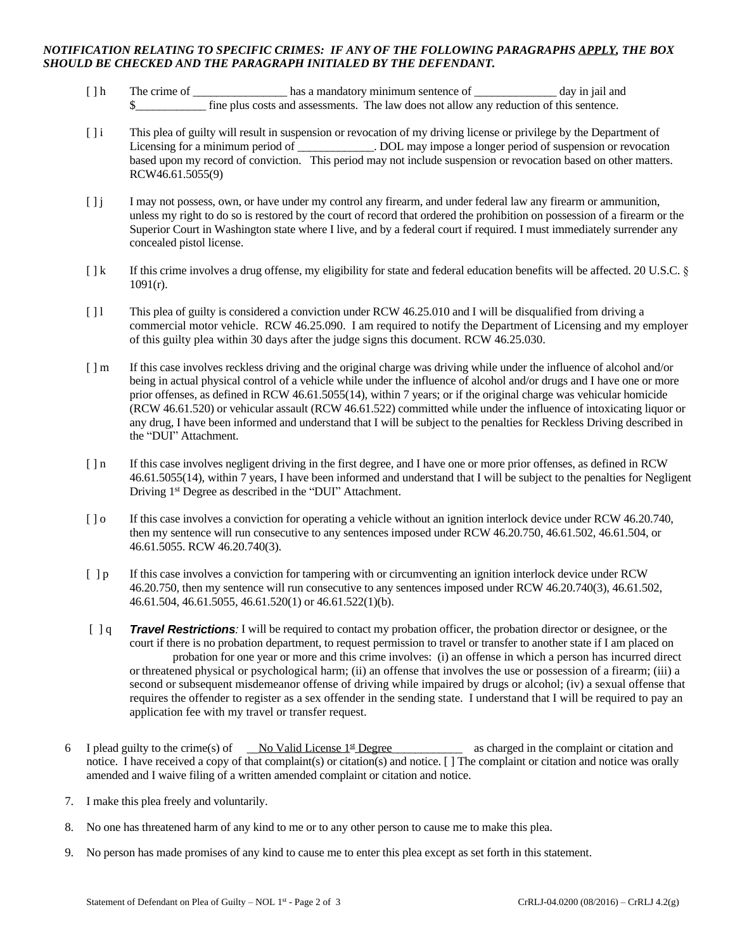## *NOTIFICATION RELATING TO SPECIFIC CRIMES: IF ANY OF THE FOLLOWING PARAGRAPHS APPLY, THE BOX SHOULD BE CHECKED AND THE PARAGRAPH INITIALED BY THE DEFENDANT.*

- [ ] h The crime of \_\_\_\_\_\_\_\_\_\_\_\_\_\_\_\_\_\_\_\_\_ has a mandatory minimum sentence of \_\_\_\_\_\_\_\_\_\_\_\_\_\_\_ day in jail and \$\_\_\_\_\_\_\_\_\_\_\_\_ fine plus costs and assessments. The law does not allow any reduction of this sentence.
- [ ] i This plea of guilty will result in suspension or revocation of my driving license or privilege by the Department of Licensing for a minimum period of \_\_\_\_\_\_\_\_\_\_\_\_. DOL may impose a longer period of suspension or revocation based upon my record of conviction. This period may not include suspension or revocation based on other matters. RCW46.61.5055(9)
- [ ] j I may not possess, own, or have under my control any firearm, and under federal law any firearm or ammunition, unless my right to do so is restored by the court of record that ordered the prohibition on possession of a firearm or the Superior Court in Washington state where I live, and by a federal court if required. I must immediately surrender any concealed pistol license.
- [ ] k If this crime involves a drug offense, my eligibility for state and federal education benefits will be affected. 20 U.S.C. § 1091(r).
- [ ] l This plea of guilty is considered a conviction under RCW 46.25.010 and I will be disqualified from driving a commercial motor vehicle. RCW 46.25.090. I am required to notify the Department of Licensing and my employer of this guilty plea within 30 days after the judge signs this document. RCW 46.25.030.
- [ ] m If this case involves reckless driving and the original charge was driving while under the influence of alcohol and/or being in actual physical control of a vehicle while under the influence of alcohol and/or drugs and I have one or more prior offenses, as defined in RCW 46.61.5055(14), within 7 years; or if the original charge was vehicular homicide (RCW 46.61.520) or vehicular assault (RCW 46.61.522) committed while under the influence of intoxicating liquor or any drug, I have been informed and understand that I will be subject to the penalties for Reckless Driving described in the "DUI" Attachment.
- [ ] n If this case involves negligent driving in the first degree, and I have one or more prior offenses, as defined in RCW 46.61.5055(14), within 7 years, I have been informed and understand that I will be subject to the penalties for Negligent Driving 1<sup>st</sup> Degree as described in the "DUI" Attachment.
- [ ] o If this case involves a conviction for operating a vehicle without an ignition interlock device under RCW 46.20.740, then my sentence will run consecutive to any sentences imposed under RCW 46.20.750, 46.61.502, 46.61.504, or 46.61.5055. RCW 46.20.740(3).
- [ ] p If this case involves a conviction for tampering with or circumventing an ignition interlock device under RCW 46.20.750, then my sentence will run consecutive to any sentences imposed under RCW 46.20.740(3), 46.61.502, 46.61.504, 46.61.5055, 46.61.520(1) or 46.61.522(1)(b).
- [ ] q *Travel Restrictions:* I will be required to contact my probation officer, the probation director or designee, or the court if there is no probation department, to request permission to travel or transfer to another state if I am placed on probation for one year or more and this crime involves: (i) an offense in which a person has incurred direct or threatened physical or psychological harm; (ii) an offense that involves the use or possession of a firearm; (iii) a second or subsequent misdemeanor offense of driving while impaired by drugs or alcohol; (iv) a sexual offense that requires the offender to register as a sex offender in the sending state. I understand that I will be required to pay an application fee with my travel or transfer request.
- 6 I plead guilty to the crime(s) of  $\qquad$  No Valid License 1<sup>st</sup> Degree as charged in the complaint or citation and notice. I have received a copy of that complaint(s) or citation(s) and notice. [ ] The complaint or citation and notice was orally amended and I waive filing of a written amended complaint or citation and notice.
- 7. I make this plea freely and voluntarily.
- 8. No one has threatened harm of any kind to me or to any other person to cause me to make this plea.
- 9. No person has made promises of any kind to cause me to enter this plea except as set forth in this statement.